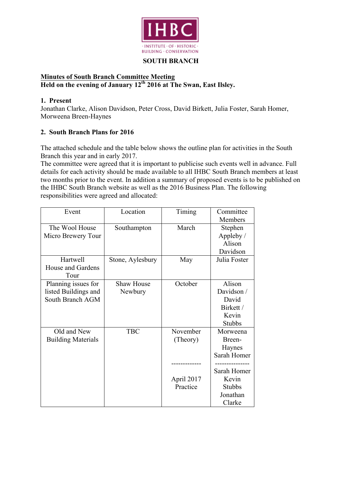

### **SOUTH BRANCH**

## **Minutes of South Branch Committee Meeting Held on the evening of January 12th 2016 at The Swan, East Ilsley.**

## **1. Present**

Jonathan Clarke, Alison Davidson, Peter Cross, David Birkett, Julia Foster, Sarah Homer, Morweena Breen-Haynes

## **2. South Branch Plans for 2016**

The attached schedule and the table below shows the outline plan for activities in the South Branch this year and in early 2017.

The committee were agreed that it is important to publicise such events well in advance. Full details for each activity should be made available to all IHBC South Branch members at least two months prior to the event. In addition a summary of proposed events is to be published on the IHBC South Branch website as well as the 2016 Business Plan. The following responsibilities were agreed and allocated:

| Event                     | Location          | Timing     | Committee     |
|---------------------------|-------------------|------------|---------------|
|                           |                   |            | Members       |
| The Wool House            | Southampton       | March      | Stephen       |
| Micro Brewery Tour        |                   |            | Appleby /     |
|                           |                   |            | Alison        |
|                           |                   |            | Davidson      |
| Hartwell                  | Stone, Aylesbury  | May        | Julia Foster  |
| House and Gardens         |                   |            |               |
| Tour                      |                   |            |               |
| Planning issues for       | <b>Shaw House</b> | October    | Alison        |
| listed Buildings and      | Newbury           |            | Davidson /    |
| South Branch AGM          |                   |            | David         |
|                           |                   |            | Birkett /     |
|                           |                   |            | Kevin         |
|                           |                   |            | <b>Stubbs</b> |
| Old and New               | <b>TBC</b>        | November   | Morweena      |
| <b>Building Materials</b> |                   | (Theory)   | Breen-        |
|                           |                   |            | Haynes        |
|                           |                   |            | Sarah Homer   |
|                           |                   |            |               |
|                           |                   |            | Sarah Homer   |
|                           |                   | April 2017 | Kevin         |
|                           |                   | Practice   | <b>Stubbs</b> |
|                           |                   |            | Jonathan      |
|                           |                   |            | Clarke        |